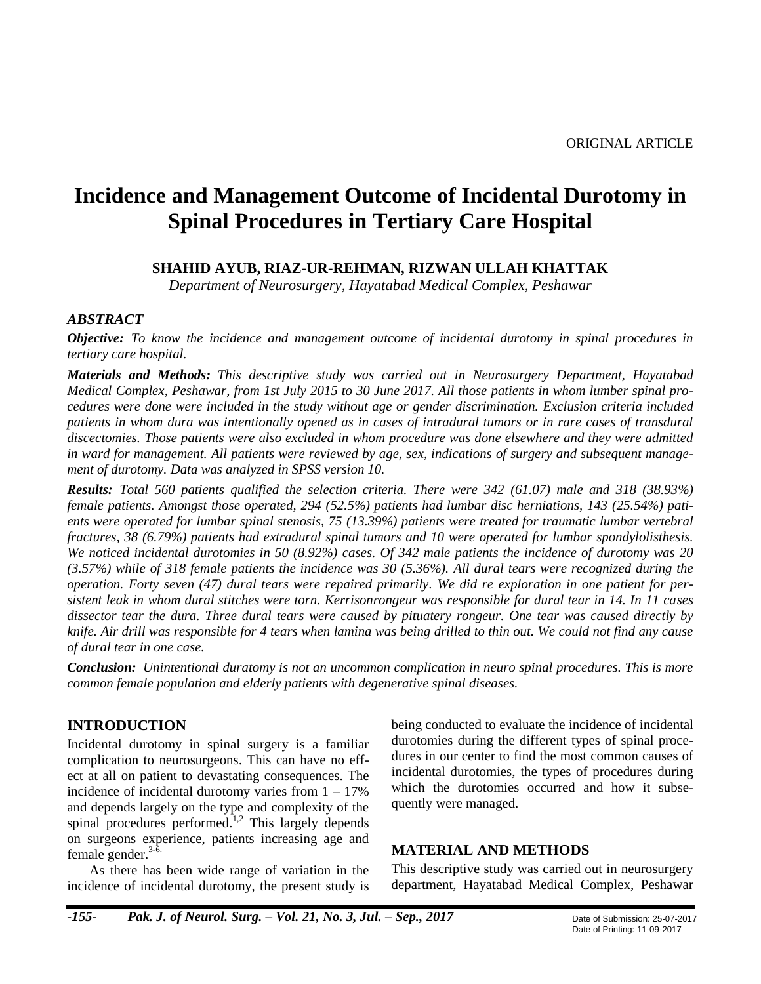# **Incidence and Management Outcome of Incidental Durotomy in Spinal Procedures in Tertiary Care Hospital**

### **SHAHID AYUB, RIAZ-UR-REHMAN, RIZWAN ULLAH KHATTAK**

*Department of Neurosurgery, Hayatabad Medical Complex, Peshawar*

#### *ABSTRACT*

*Objective: To know the incidence and management outcome of incidental durotomy in spinal procedures in tertiary care hospital.*

*Materials and Methods: This descriptive study was carried out in Neurosurgery Department, Hayatabad Medical Complex, Peshawar, from 1st July 2015 to 30 June 2017. All those patients in whom lumber spinal procedures were done were included in the study without age or gender discrimination. Exclusion criteria included patients in whom dura was intentionally opened as in cases of intradural tumors or in rare cases of transdural discectomies. Those patients were also excluded in whom procedure was done elsewhere and they were admitted in ward for management. All patients were reviewed by age, sex, indications of surgery and subsequent management of durotomy. Data was analyzed in SPSS version 10.*

*Results: Total 560 patients qualified the selection criteria. There were 342 (61.07) male and 318 (38.93%) female patients. Amongst those operated, 294 (52.5%) patients had lumbar disc herniations, 143 (25.54%) patients were operated for lumbar spinal stenosis, 75 (13.39%) patients were treated for traumatic lumbar vertebral fractures, 38 (6.79%) patients had extradural spinal tumors and 10 were operated for lumbar spondylolisthesis. We noticed incidental durotomies in 50 (8.92%) cases. Of 342 male patients the incidence of durotomy was 20 (3.57%) while of 318 female patients the incidence was 30 (5.36%). All dural tears were recognized during the operation. Forty seven (47) dural tears were repaired primarily. We did re exploration in one patient for persistent leak in whom dural stitches were torn. Kerrisonrongeur was responsible for dural tear in 14. In 11 cases dissector tear the dura. Three dural tears were caused by pituatery rongeur. One tear was caused directly by knife. Air drill was responsible for 4 tears when lamina was being drilled to thin out. We could not find any cause of dural tear in one case.*

*Conclusion: Unintentional duratomy is not an uncommon complication in neuro spinal procedures. This is more common female population and elderly patients with degenerative spinal diseases.*

### **INTRODUCTION**

Incidental durotomy in spinal surgery is a familiar complication to neurosurgeons. This can have no effect at all on patient to devastating consequences. The incidence of incidental durotomy varies from  $1 - 17\%$ and depends largely on the type and complexity of the spinal procedures performed. 1,2 This largely depends on surgeons experience, patients increasing age and female gender.<sup>3-6.</sup>

As there has been wide range of variation in the incidence of incidental durotomy, the present study is

being conducted to evaluate the incidence of incidental durotomies during the different types of spinal procedures in our center to find the most common causes of incidental durotomies, the types of procedures during which the durotomies occurred and how it subsequently were managed.

#### **MATERIAL AND METHODS**

This descriptive study was carried out in neurosurgery department, Hayatabad Medical Complex, Peshawar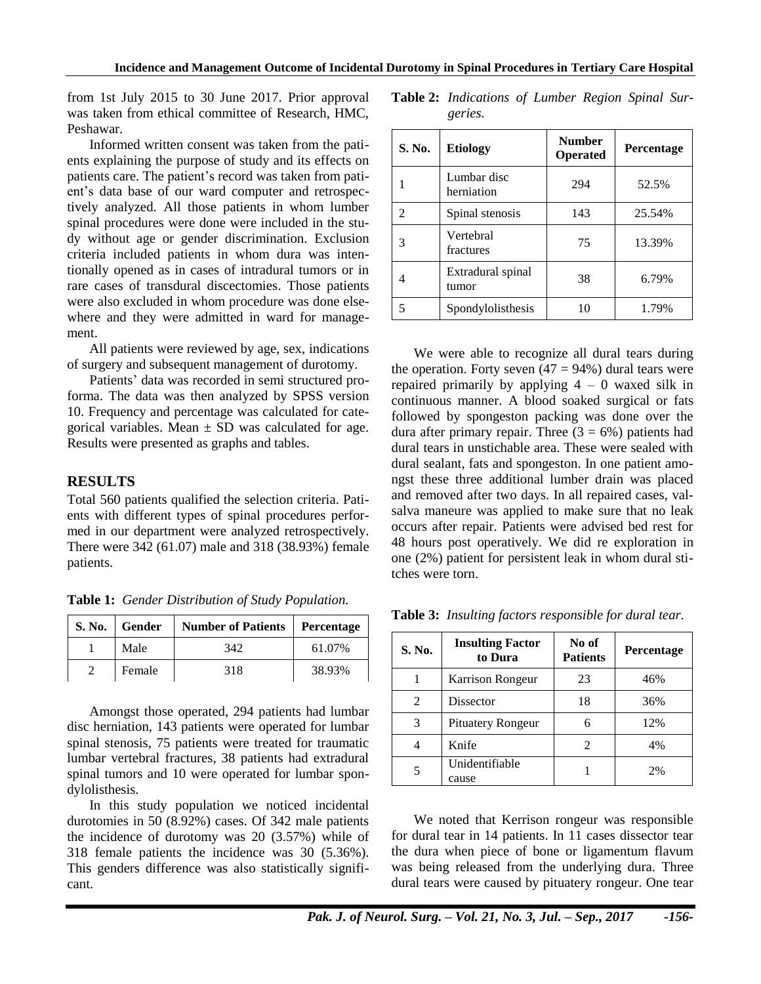from 1st July 2015 to 30 June 2017. Prior approval was taken from ethical committee of Research, HMC, Peshawar.

Informed written consent was taken from the patients explaining the purpose of study and its effects on patients care. The patient's record was taken from patient's data base of our ward computer and retrospectively analyzed. All those patients in whom lumber spinal procedures were done were included in the study without age or gender discrimination. Exclusion criteria included patients in whom dura was intentionally opened as in cases of intradural tumors or in rare cases of transdural discectomies. Those patients were also excluded in whom procedure was done elsewhere and they were admitted in ward for management.

All patients were reviewed by age, sex, indications of surgery and subsequent management of durotomy.

Patients' data was recorded in semi structured proforma. The data was then analyzed by SPSS version 10. Frequency and percentage was calculated for categorical variables. Mean  $\pm$  SD was calculated for age. Results were presented as graphs and tables.

#### **RESULTS**

Total 560 patients qualified the selection criteria. Patients with different types of spinal procedures performed in our department were analyzed retrospectively. There were 342 (61.07) male and 318 (38.93%) female patients.

| S. No. | Gender | <b>Number of Patients</b> | Percentage |  |
|--------|--------|---------------------------|------------|--|
|        | Male   | 342                       | 61.07%     |  |
|        | Female | 318                       | 38.93%     |  |

**Table 1:** *Gender Distribution of Study Population.*

Amongst those operated, 294 patients had lumbar disc herniation, 143 patients were operated for lumbar spinal stenosis, 75 patients were treated for traumatic lumbar vertebral fractures, 38 patients had extradural spinal tumors and 10 were operated for lumbar spondylolisthesis.

In this study population we noticed incidental durotomies in 50 (8.92%) cases. Of 342 male patients the incidence of durotomy was 20 (3.57%) while of 318 female patients the incidence was 30 (5.36%). This genders difference was also statistically significant.

| <b>Table 2:</b> Indications of Lumber Region Spinal Sur- |  |  |  |
|----------------------------------------------------------|--|--|--|
| geries.                                                  |  |  |  |

| S. No.         | <b>Number</b><br><b>Etiology</b><br><b>Operated</b> |     | <b>Percentage</b> |  |
|----------------|-----------------------------------------------------|-----|-------------------|--|
|                | Lumbar disc<br>herniation                           | 294 | 52.5%             |  |
| $\mathfrak{D}$ | Spinal stenosis                                     | 143 | 25.54%            |  |
| 3              | Vertebral<br>fractures                              | 75  | 13.39%            |  |
| 4              | Extradural spinal<br>tumor                          | 38  | 6.79%             |  |
|                | Spondylolisthesis                                   | 10  | 1.79%             |  |

We were able to recognize all dural tears during the operation. Forty seven  $(47 = 94\%)$  dural tears were repaired primarily by applying  $4 - 0$  waxed silk in continuous manner. A blood soaked surgical or fats followed by spongeston packing was done over the dura after primary repair. Three  $(3 = 6\%)$  patients had dural tears in unstichable area. These were sealed with dural sealant, fats and spongeston. In one patient amongst these three additional lumber drain was placed and removed after two days. In all repaired cases, valsalva maneure was applied to make sure that no leak occurs after repair. Patients were advised bed rest for 48 hours post operatively. We did re exploration in one (2%) patient for persistent leak in whom dural stitches were torn.

| S. No. | <b>Insulting Factor</b><br>to Dura | No of<br><b>Patients</b> | <b>Percentage</b> |
|--------|------------------------------------|--------------------------|-------------------|
|        | Karrison Rongeur                   | 23                       | 46%               |
| 2      | <b>Dissector</b>                   | 18                       | 36%               |
| 3      | <b>Pituatery Rongeur</b>           | 6                        | 12%               |
|        | Knife                              | 2                        | 4%                |
|        | Unidentifiable<br>cause            |                          | 2%                |

**Table 3:** *Insulting factors responsible for dural tear.*

We noted that Kerrison rongeur was responsible for dural tear in 14 patients. In 11 cases dissector tear the dura when piece of bone or ligamentum flavum was being released from the underlying dura. Three dural tears were caused by pituatery rongeur. One tear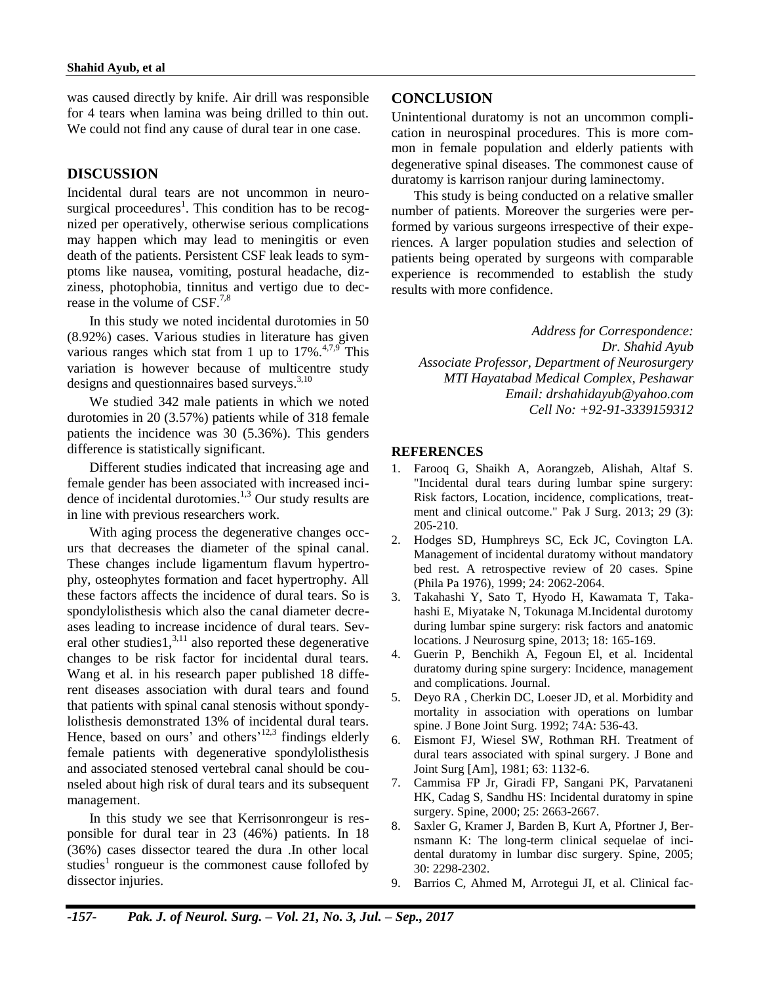was caused directly by knife. Air drill was responsible for 4 tears when lamina was being drilled to thin out. We could not find any cause of dural tear in one case.

#### **DISCUSSION**

Incidental dural tears are not uncommon in neurosurgical proceedures<sup>1</sup>. This condition has to be recognized per operatively, otherwise serious complications may happen which may lead to meningitis or even death of the patients. Persistent CSF leak leads to symptoms like nausea, vomiting, postural headache, dizziness, photophobia, tinnitus and vertigo due to decrease in the volume of CSF.<sup>7,8</sup>

In this study we noted incidental durotomies in 50 (8.92%) cases. Various studies in literature has given various ranges which stat from 1 up to  $17\%$ <sup>4,7,9</sup> This variation is however because of multicentre study designs and questionnaires based surveys.<sup>3,10</sup>

We studied 342 male patients in which we noted durotomies in 20 (3.57%) patients while of 318 female patients the incidence was 30 (5.36%). This genders difference is statistically significant.

Different studies indicated that increasing age and female gender has been associated with increased incidence of incidental durotomies. 1,3 Our study results are in line with previous researchers work.

With aging process the degenerative changes occurs that decreases the diameter of the spinal canal. These changes include ligamentum flavum hypertrophy, osteophytes formation and facet hypertrophy. All these factors affects the incidence of dural tears. So is spondylolisthesis which also the canal diameter decreases leading to increase incidence of dural tears. Several other studies $1<sup>3,11</sup>$  also reported these degenerative changes to be risk factor for incidental dural tears. Wang et al. in his research paper published 18 different diseases association with dural tears and found that patients with spinal canal stenosis without spondylolisthesis demonstrated 13% of incidental dural tears. Hence, based on ours' and others<sup>'12,3</sup> findings elderly female patients with degenerative spondylolisthesis and associated stenosed vertebral canal should be counseled about high risk of dural tears and its subsequent management.

In this study we see that Kerrisonrongeur is responsible for dural tear in 23 (46%) patients. In 18 (36%) cases dissector teared the dura .In other local studies<sup>1</sup> rongueur is the commonest cause follofed by dissector injuries.

## **CONCLUSION**

Unintentional duratomy is not an uncommon complication in neurospinal procedures. This is more common in female population and elderly patients with degenerative spinal diseases. The commonest cause of duratomy is karrison ranjour during laminectomy.

This study is being conducted on a relative smaller number of patients. Moreover the surgeries were performed by various surgeons irrespective of their experiences. A larger population studies and selection of patients being operated by surgeons with comparable experience is recommended to establish the study results with more confidence.

*Address for Correspondence: Dr. Shahid Ayub Associate Professor, Department of Neurosurgery MTI Hayatabad Medical Complex, Peshawar Email: [drshahidayub@yahoo.com](mailto:drshahidayub@yahoo.com) Cell No: +92-91-3339159312*

#### **REFERENCES**

- 1. Farooq G, Shaikh A, Aorangzeb, Alishah, Altaf S. "Incidental dural tears during lumbar spine surgery: Risk factors, Location, incidence, complications, treatment and clinical outcome." Pak J Surg. 2013; 29 (3): 205-210.
- 2. Hodges SD, Humphreys SC, Eck JC, Covington LA. Management of incidental duratomy without mandatory bed rest. A retrospective review of 20 cases. Spine (Phila Pa 1976), 1999; 24: 2062-2064.
- 3. Takahashi Y, Sato T, Hyodo H, Kawamata T, Takahashi E, Miyatake N, Tokunaga M.Incidental durotomy during lumbar spine surgery: risk factors and anatomic locations. J Neurosurg spine, 2013; 18: 165-169.
- 4. Guerin P, Benchikh A, Fegoun El, et al. Incidental duratomy during spine surgery: Incidence, management and complications. Journal.
- 5. Deyo RA , Cherkin DC, Loeser JD, et al. Morbidity and mortality in association with operations on lumbar spine. J Bone Joint Surg. 1992; 74A: 536-43.
- 6. Eismont FJ, Wiesel SW, Rothman RH. Treatment of dural tears associated with spinal surgery. J Bone and Joint Surg [Am], 1981; 63: 1132-6.
- 7. Cammisa FP Jr, Giradi FP, Sangani PK, Parvataneni HK, Cadag S, Sandhu HS: Incidental duratomy in spine surgery. Spine, 2000; 25: 2663-2667.
- 8. Saxler G, Kramer J, Barden B, Kurt A, Pfortner J, Bernsmann K: The long-term clinical sequelae of incidental duratomy in lumbar disc surgery. Spine, 2005; 30: 2298-2302.
- 9. Barrios C, Ahmed M, Arrotegui JI, et al. Clinical fac-